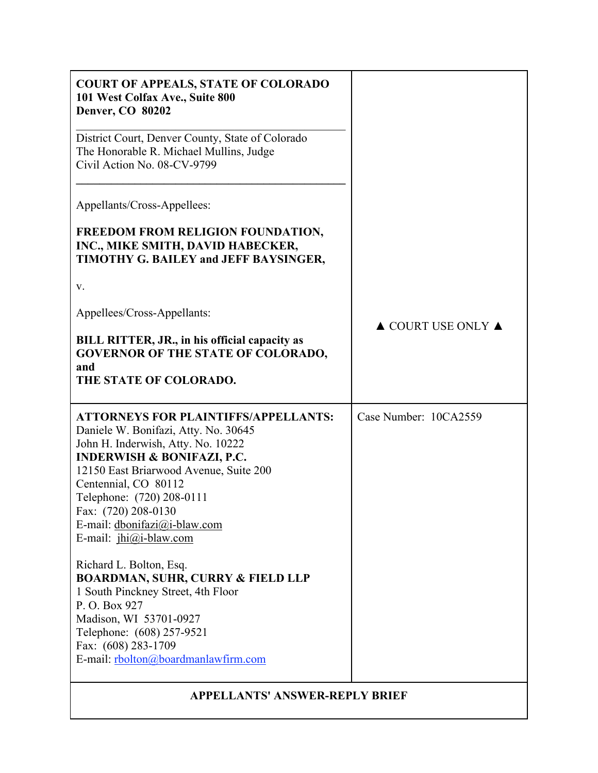| <b>COURT OF APPEALS, STATE OF COLORADO</b><br>101 West Colfax Ave., Suite 800<br><b>Denver, CO 80202</b>                                                                                                                                                                                                                                             |                                        |  |  |  |
|------------------------------------------------------------------------------------------------------------------------------------------------------------------------------------------------------------------------------------------------------------------------------------------------------------------------------------------------------|----------------------------------------|--|--|--|
| District Court, Denver County, State of Colorado<br>The Honorable R. Michael Mullins, Judge<br>Civil Action No. 08-CV-9799                                                                                                                                                                                                                           |                                        |  |  |  |
| Appellants/Cross-Appellees:                                                                                                                                                                                                                                                                                                                          |                                        |  |  |  |
| FREEDOM FROM RELIGION FOUNDATION,<br>INC., MIKE SMITH, DAVID HABECKER,<br>TIMOTHY G. BAILEY and JEFF BAYSINGER,                                                                                                                                                                                                                                      |                                        |  |  |  |
| V.                                                                                                                                                                                                                                                                                                                                                   |                                        |  |  |  |
| Appellees/Cross-Appellants:                                                                                                                                                                                                                                                                                                                          | $\triangle$ COURT USE ONLY $\triangle$ |  |  |  |
| BILL RITTER, JR., in his official capacity as<br><b>GOVERNOR OF THE STATE OF COLORADO,</b><br>and<br>THE STATE OF COLORADO.                                                                                                                                                                                                                          |                                        |  |  |  |
| <b>ATTORNEYS FOR PLAINTIFFS/APPELLANTS:</b><br>Daniele W. Bonifazi, Atty. No. 30645<br>John H. Inderwish, Atty. No. 10222<br><b>INDERWISH &amp; BONIFAZI, P.C.</b><br>12150 East Briarwood Avenue, Suite 200<br>Centennial, CO 80112<br>Telephone: (720) 208-0111<br>Fax: (720) 208-0130<br>E-mail: dbonifazi@i-blaw.com<br>E-mail: $jhi@i-blaw.com$ | Case Number: 10CA2559                  |  |  |  |
| Richard L. Bolton, Esq.<br><b>BOARDMAN, SUHR, CURRY &amp; FIELD LLP</b><br>1 South Pinckney Street, 4th Floor<br>P.O. Box 927<br>Madison, WI 53701-0927<br>Telephone: (608) 257-9521<br>Fax: (608) 283-1709<br>E-mail: rbolton@boardmanlawfirm.com                                                                                                   |                                        |  |  |  |
| <b>APPELLANTS' ANSWER-REPLY BRIEF</b>                                                                                                                                                                                                                                                                                                                |                                        |  |  |  |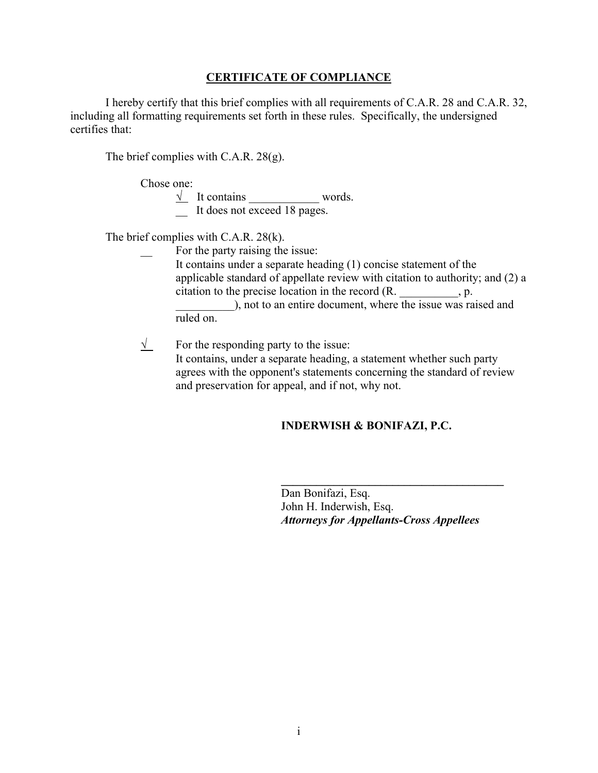### **CERTIFICATE OF COMPLIANCE**

I hereby certify that this brief complies with all requirements of C.A.R. 28 and C.A.R. 32, including all formatting requirements set forth in these rules. Specifically, the undersigned certifies that:

The brief complies with C.A.R. 28(g).

Chose one:

 $\sqrt{\phantom{a}}$  It contains words. \_\_ It does not exceed 18 pages.

The brief complies with C.A.R. 28(k).

For the party raising the issue:

It contains under a separate heading (1) concise statement of the applicable standard of appellate review with citation to authority; and (2) a citation to the precise location in the record (R.  $\qquad \qquad$ , p.

), not to an entire document, where the issue was raised and ruled on.

 $\sqrt{\ }$  For the responding party to the issue: It contains, under a separate heading, a statement whether such party agrees with the opponent's statements concerning the standard of review and preservation for appeal, and if not, why not.

### **INDERWISH & BONIFAZI, P.C.**

Dan Bonifazi, Esq. John H. Inderwish, Esq. *Attorneys for Appellants-Cross Appellees*

**\_\_\_\_\_\_\_\_\_\_\_\_\_\_\_\_\_\_\_\_\_\_\_\_\_\_\_\_\_\_\_\_\_\_\_\_\_\_**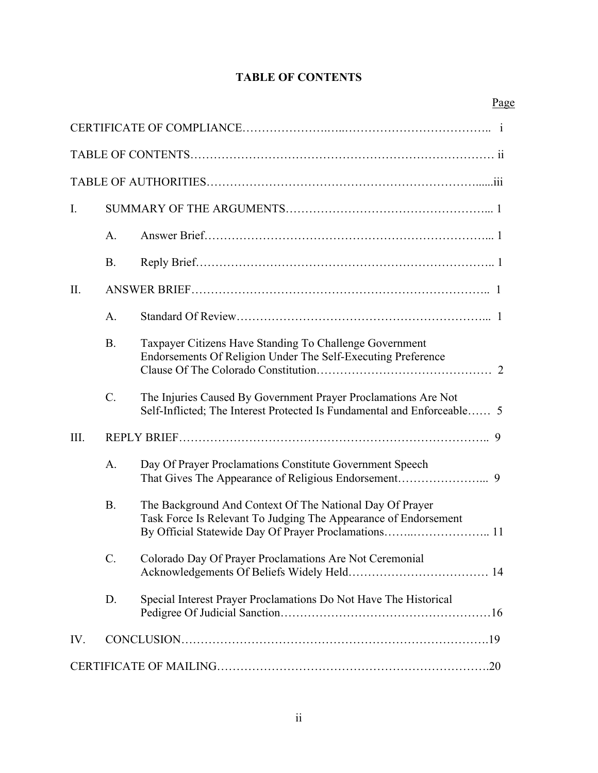# **TABLE OF CONTENTS**

| I.   |                |                                                                                                                                           |  |
|------|----------------|-------------------------------------------------------------------------------------------------------------------------------------------|--|
|      | $\mathbf{A}$ . |                                                                                                                                           |  |
|      | <b>B.</b>      |                                                                                                                                           |  |
| II.  |                |                                                                                                                                           |  |
|      | A.             |                                                                                                                                           |  |
|      | <b>B.</b>      | Taxpayer Citizens Have Standing To Challenge Government<br>Endorsements Of Religion Under The Self-Executing Preference                   |  |
|      | $C_{\cdot}$    | The Injuries Caused By Government Prayer Proclamations Are Not<br>Self-Inflicted; The Interest Protected Is Fundamental and Enforceable 5 |  |
| III. |                |                                                                                                                                           |  |
|      | A.             | Day Of Prayer Proclamations Constitute Government Speech                                                                                  |  |
|      | <b>B.</b>      | The Background And Context Of The National Day Of Prayer<br>Task Force Is Relevant To Judging The Appearance of Endorsement               |  |
|      | $C$ .          | Colorado Day Of Prayer Proclamations Are Not Ceremonial                                                                                   |  |
|      | D.             | Special Interest Prayer Proclamations Do Not Have The Historical                                                                          |  |
| IV.  |                |                                                                                                                                           |  |
|      |                |                                                                                                                                           |  |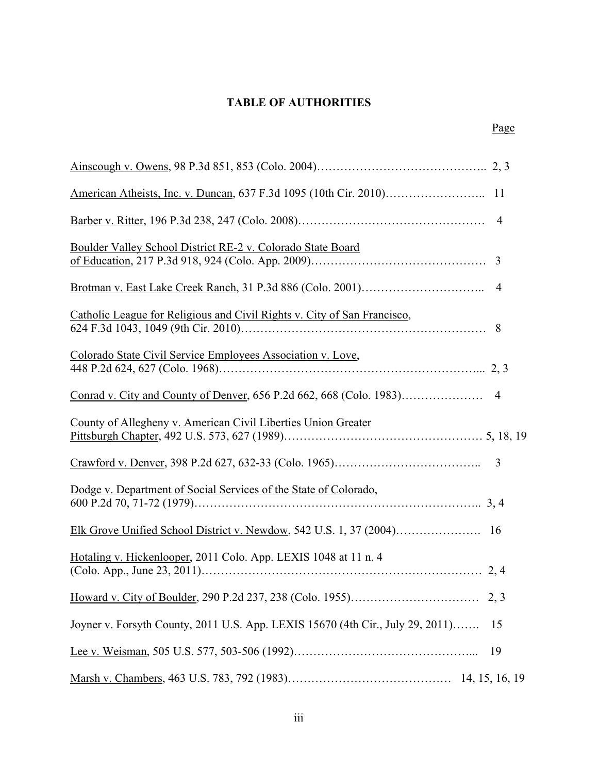## **TABLE OF AUTHORITIES**

| Boulder Valley School District RE-2 v. Colorado State Board                    |    |
|--------------------------------------------------------------------------------|----|
|                                                                                |    |
| Catholic League for Religious and Civil Rights v. City of San Francisco,       |    |
| Colorado State Civil Service Employees Association v. Love,                    |    |
|                                                                                |    |
| County of Allegheny v. American Civil Liberties Union Greater                  |    |
|                                                                                |    |
| Dodge v. Department of Social Services of the State of Colorado,               |    |
|                                                                                |    |
| Hotaling v. Hickenlooper, 2011 Colo. App. LEXIS 1048 at 11 n. 4                |    |
|                                                                                |    |
| Joyner v. Forsyth County, 2011 U.S. App. LEXIS 15670 (4th Cir., July 29, 2011) | 15 |
|                                                                                | 19 |
|                                                                                |    |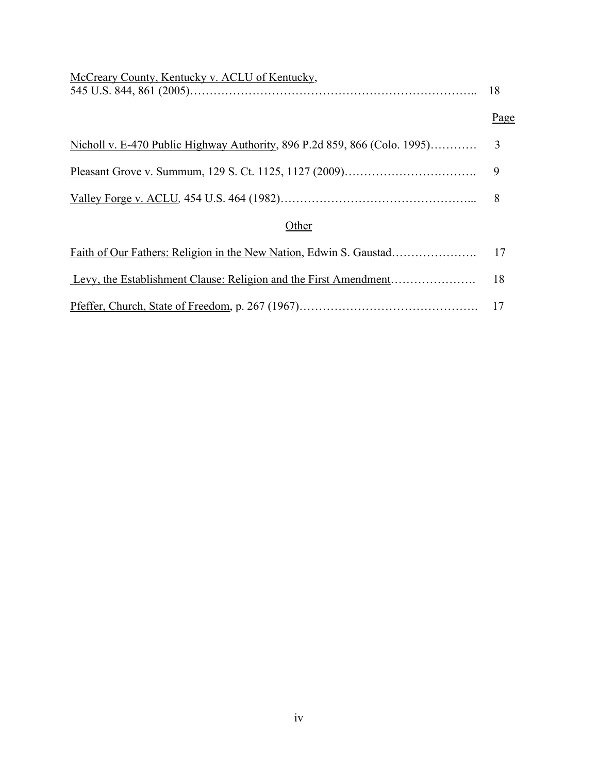| McCreary County, Kentucky v. ACLU of Kentucky,                            |      |
|---------------------------------------------------------------------------|------|
|                                                                           | Page |
| Nicholl v. E-470 Public Highway Authority, 896 P.2d 859, 866 (Colo. 1995) | 3    |
|                                                                           | 9    |
|                                                                           |      |
| Other                                                                     |      |
|                                                                           | 17   |
|                                                                           |      |
|                                                                           |      |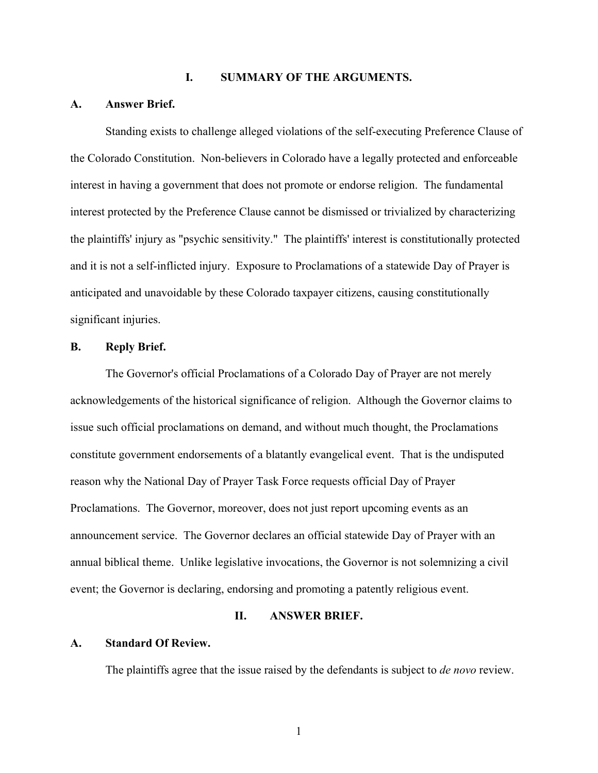#### **I. SUMMARY OF THE ARGUMENTS.**

#### **A. Answer Brief.**

Standing exists to challenge alleged violations of the self-executing Preference Clause of the Colorado Constitution. Non-believers in Colorado have a legally protected and enforceable interest in having a government that does not promote or endorse religion. The fundamental interest protected by the Preference Clause cannot be dismissed or trivialized by characterizing the plaintiffs' injury as "psychic sensitivity." The plaintiffs' interest is constitutionally protected and it is not a self-inflicted injury. Exposure to Proclamations of a statewide Day of Prayer is anticipated and unavoidable by these Colorado taxpayer citizens, causing constitutionally significant injuries.

#### **B. Reply Brief.**

The Governor's official Proclamations of a Colorado Day of Prayer are not merely acknowledgements of the historical significance of religion. Although the Governor claims to issue such official proclamations on demand, and without much thought, the Proclamations constitute government endorsements of a blatantly evangelical event. That is the undisputed reason why the National Day of Prayer Task Force requests official Day of Prayer Proclamations. The Governor, moreover, does not just report upcoming events as an announcement service. The Governor declares an official statewide Day of Prayer with an annual biblical theme. Unlike legislative invocations, the Governor is not solemnizing a civil event; the Governor is declaring, endorsing and promoting a patently religious event.

#### **II. ANSWER BRIEF.**

### **A. Standard Of Review.**

The plaintiffs agree that the issue raised by the defendants is subject to *de novo* review.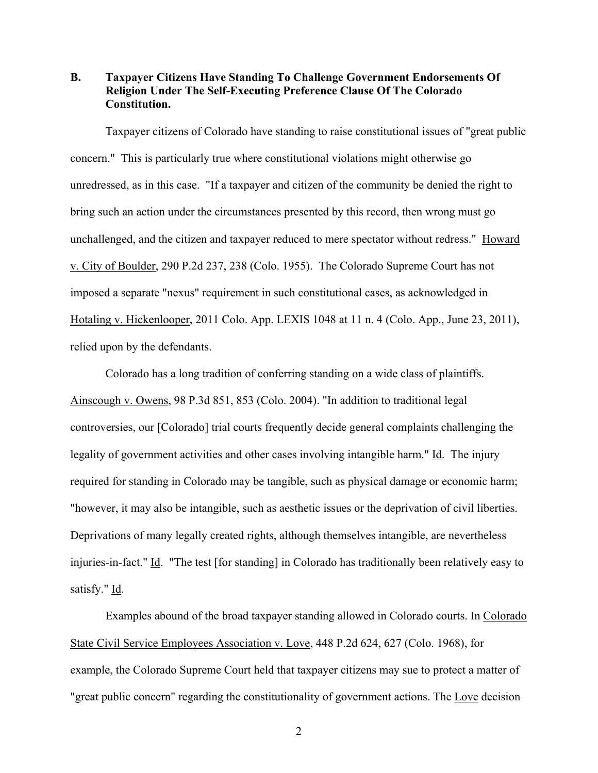**B. Taxpayer Citizens Have Standing To Challenge Government Endorsements Of Religion Under The Self-Executing Preference Clause Of The Colorado Constitution.**

Taxpayer citizens of Colorado have standing to raise constitutional issues of "great public concern." This is particularly true where constitutional violations might otherwise go unredressed, as in this case. "If a taxpayer and citizen of the community be denied the right to bring such an action under the circumstances presented by this record, then wrong must go unchallenged, and the citizen and taxpayer reduced to mere spectator without redress." Howard v. City of Boulder, 290 P.2d 237, 238 (Colo. 1955). The Colorado Supreme Court has not imposed a separate "nexus" requirement in such constitutional cases, as acknowledged in Hotaling v. Hickenlooper, 2011 Colo. App. LEXIS 1048 at 11 n. 4 (Colo. App., June 23, 2011), relied upon by the defendants.

Colorado has a long tradition of conferring standing on a wide class of plaintiffs. Ainscough v. Owens, 98 P.3d 851, 853 (Colo. 2004). "In addition to traditional legal controversies, our [Colorado] trial courts frequently decide general complaints challenging the legality of government activities and other cases involving intangible harm." Id. The injury required for standing in Colorado may be tangible, such as physical damage or economic harm; "however, it may also be intangible, such as aesthetic issues or the deprivation of civil liberties. Deprivations of many legally created rights, although themselves intangible, are nevertheless injuries-in-fact." Id. "The test [for standing] in Colorado has traditionally been relatively easy to satisfy." Id.

Examples abound of the broad taxpayer standing allowed in Colorado courts. In Colorado State Civil Service Employees Association v. Love, 448 P.2d 624, 627 (Colo. 1968), for example, the Colorado Supreme Court held that taxpayer citizens may sue to protect a matter of "great public concern" regarding the constitutionality of government actions. The Love decision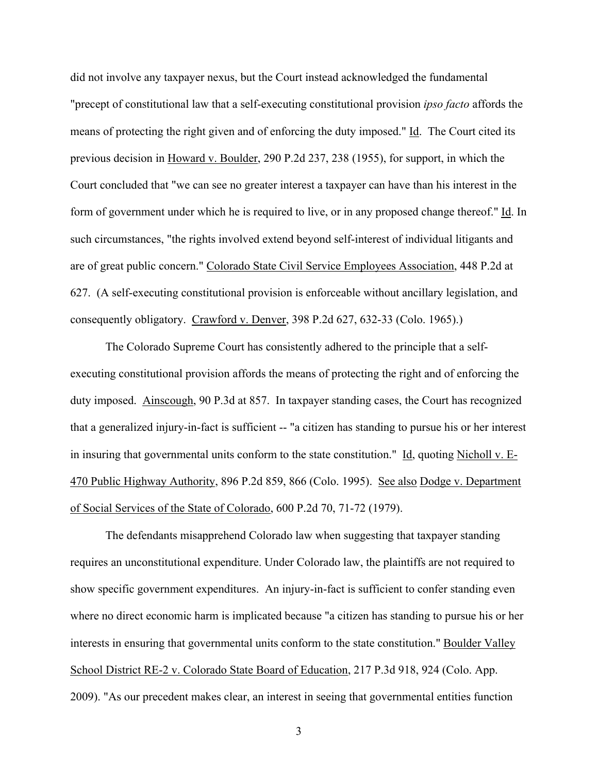did not involve any taxpayer nexus, but the Court instead acknowledged the fundamental "precept of constitutional law that a self-executing constitutional provision *ipso facto* affords the means of protecting the right given and of enforcing the duty imposed." Id. The Court cited its previous decision in Howard v. Boulder, 290 P.2d 237, 238 (1955), for support, in which the Court concluded that "we can see no greater interest a taxpayer can have than his interest in the form of government under which he is required to live, or in any proposed change thereof." Id. In such circumstances, "the rights involved extend beyond self-interest of individual litigants and are of great public concern." Colorado State Civil Service Employees Association, 448 P.2d at 627. (A self-executing constitutional provision is enforceable without ancillary legislation, and consequently obligatory. Crawford v. Denver, 398 P.2d 627, 632-33 (Colo. 1965).)

The Colorado Supreme Court has consistently adhered to the principle that a selfexecuting constitutional provision affords the means of protecting the right and of enforcing the duty imposed. Ainscough, 90 P.3d at 857. In taxpayer standing cases, the Court has recognized that a generalized injury-in-fact is sufficient -- "a citizen has standing to pursue his or her interest in insuring that governmental units conform to the state constitution." Id, quoting Nicholl v. E-470 Public Highway Authority, 896 P.2d 859, 866 (Colo. 1995). See also Dodge v. Department of Social Services of the State of Colorado, 600 P.2d 70, 71-72 (1979).

The defendants misapprehend Colorado law when suggesting that taxpayer standing requires an unconstitutional expenditure. Under Colorado law, the plaintiffs are not required to show specific government expenditures. An injury-in-fact is sufficient to confer standing even where no direct economic harm is implicated because "a citizen has standing to pursue his or her interests in ensuring that governmental units conform to the state constitution." Boulder Valley School District RE-2 v. Colorado State Board of Education, 217 P.3d 918, 924 (Colo. App. 2009). "As our precedent makes clear, an interest in seeing that governmental entities function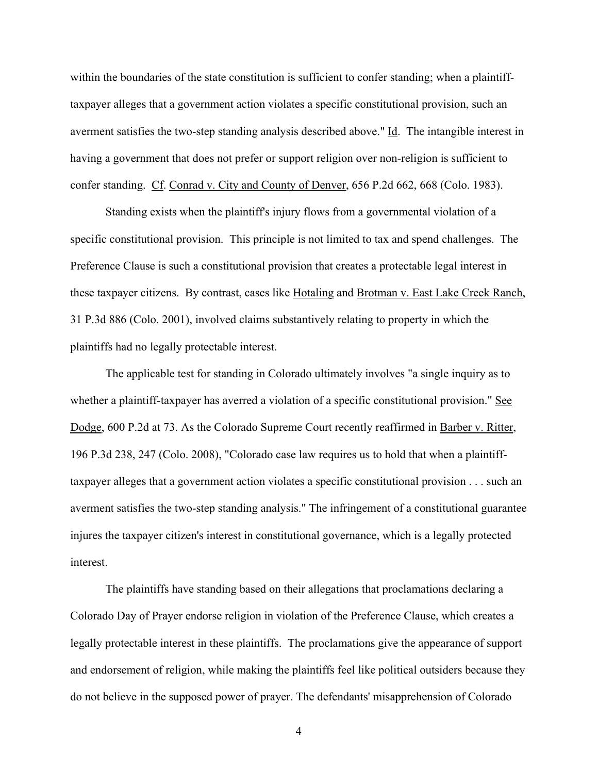within the boundaries of the state constitution is sufficient to confer standing; when a plaintifftaxpayer alleges that a government action violates a specific constitutional provision, such an averment satisfies the two-step standing analysis described above." Id. The intangible interest in having a government that does not prefer or support religion over non-religion is sufficient to confer standing. Cf. Conrad v. City and County of Denver, 656 P.2d 662, 668 (Colo. 1983).

Standing exists when the plaintiff's injury flows from a governmental violation of a specific constitutional provision. This principle is not limited to tax and spend challenges. The Preference Clause is such a constitutional provision that creates a protectable legal interest in these taxpayer citizens. By contrast, cases like Hotaling and Brotman v. East Lake Creek Ranch, 31 P.3d 886 (Colo. 2001), involved claims substantively relating to property in which the plaintiffs had no legally protectable interest.

The applicable test for standing in Colorado ultimately involves "a single inquiry as to whether a plaintiff-taxpayer has averred a violation of a specific constitutional provision." See Dodge, 600 P.2d at 73. As the Colorado Supreme Court recently reaffirmed in Barber v. Ritter, 196 P.3d 238, 247 (Colo. 2008), "Colorado case law requires us to hold that when a plaintifftaxpayer alleges that a government action violates a specific constitutional provision . . . such an averment satisfies the two-step standing analysis." The infringement of a constitutional guarantee injures the taxpayer citizen's interest in constitutional governance, which is a legally protected interest.

The plaintiffs have standing based on their allegations that proclamations declaring a Colorado Day of Prayer endorse religion in violation of the Preference Clause, which creates a legally protectable interest in these plaintiffs. The proclamations give the appearance of support and endorsement of religion, while making the plaintiffs feel like political outsiders because they do not believe in the supposed power of prayer. The defendants' misapprehension of Colorado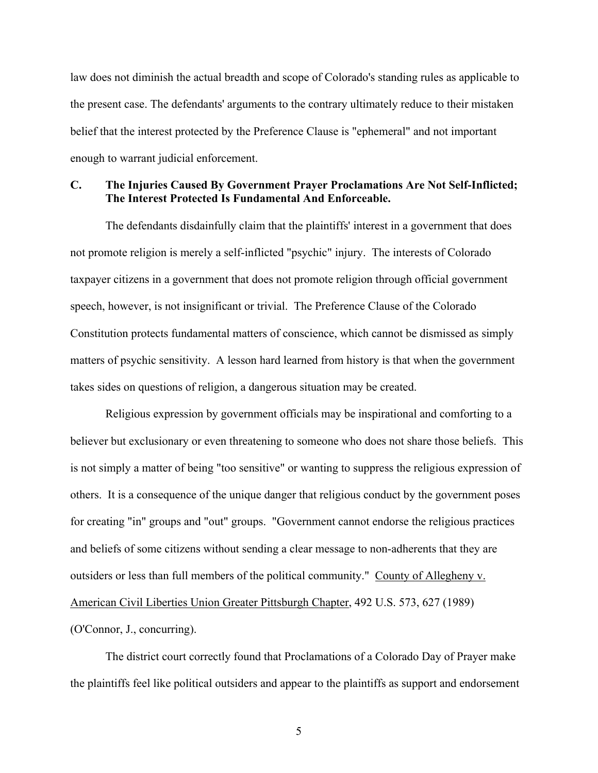law does not diminish the actual breadth and scope of Colorado's standing rules as applicable to the present case. The defendants' arguments to the contrary ultimately reduce to their mistaken belief that the interest protected by the Preference Clause is "ephemeral" and not important enough to warrant judicial enforcement.

### **C. The Injuries Caused By Government Prayer Proclamations Are Not Self-Inflicted; The Interest Protected Is Fundamental And Enforceable.**

The defendants disdainfully claim that the plaintiffs' interest in a government that does not promote religion is merely a self-inflicted "psychic" injury. The interests of Colorado taxpayer citizens in a government that does not promote religion through official government speech, however, is not insignificant or trivial. The Preference Clause of the Colorado Constitution protects fundamental matters of conscience, which cannot be dismissed as simply matters of psychic sensitivity. A lesson hard learned from history is that when the government takes sides on questions of religion, a dangerous situation may be created.

Religious expression by government officials may be inspirational and comforting to a believer but exclusionary or even threatening to someone who does not share those beliefs. This is not simply a matter of being "too sensitive" or wanting to suppress the religious expression of others. It is a consequence of the unique danger that religious conduct by the government poses for creating "in" groups and "out" groups. "Government cannot endorse the religious practices and beliefs of some citizens without sending a clear message to non-adherents that they are outsiders or less than full members of the political community." County of Allegheny v. American Civil Liberties Union Greater Pittsburgh Chapter, 492 U.S. 573, 627 (1989) (O'Connor, J., concurring).

The district court correctly found that Proclamations of a Colorado Day of Prayer make the plaintiffs feel like political outsiders and appear to the plaintiffs as support and endorsement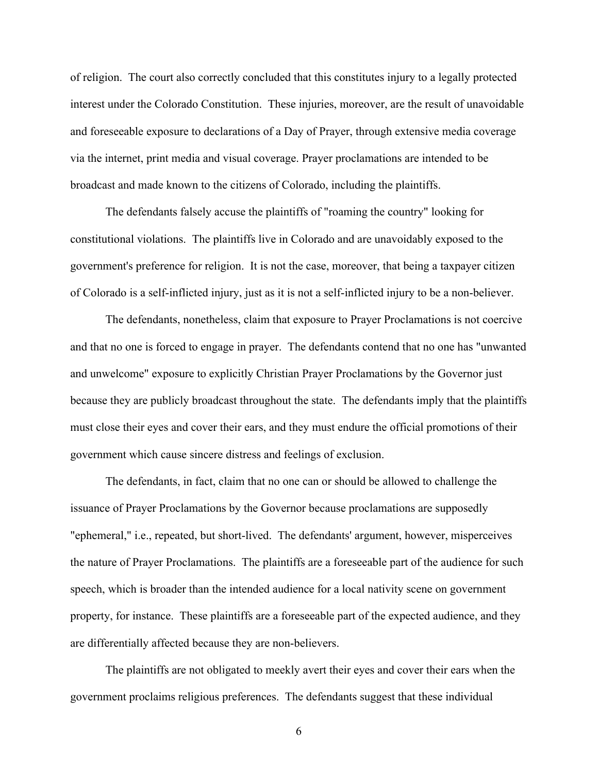of religion. The court also correctly concluded that this constitutes injury to a legally protected interest under the Colorado Constitution. These injuries, moreover, are the result of unavoidable and foreseeable exposure to declarations of a Day of Prayer, through extensive media coverage via the internet, print media and visual coverage. Prayer proclamations are intended to be broadcast and made known to the citizens of Colorado, including the plaintiffs.

The defendants falsely accuse the plaintiffs of "roaming the country" looking for constitutional violations. The plaintiffs live in Colorado and are unavoidably exposed to the government's preference for religion. It is not the case, moreover, that being a taxpayer citizen of Colorado is a self-inflicted injury, just as it is not a self-inflicted injury to be a non-believer.

The defendants, nonetheless, claim that exposure to Prayer Proclamations is not coercive and that no one is forced to engage in prayer. The defendants contend that no one has "unwanted and unwelcome" exposure to explicitly Christian Prayer Proclamations by the Governor just because they are publicly broadcast throughout the state. The defendants imply that the plaintiffs must close their eyes and cover their ears, and they must endure the official promotions of their government which cause sincere distress and feelings of exclusion.

The defendants, in fact, claim that no one can or should be allowed to challenge the issuance of Prayer Proclamations by the Governor because proclamations are supposedly "ephemeral," i.e., repeated, but short-lived. The defendants' argument, however, misperceives the nature of Prayer Proclamations. The plaintiffs are a foreseeable part of the audience for such speech, which is broader than the intended audience for a local nativity scene on government property, for instance. These plaintiffs are a foreseeable part of the expected audience, and they are differentially affected because they are non-believers.

The plaintiffs are not obligated to meekly avert their eyes and cover their ears when the government proclaims religious preferences. The defendants suggest that these individual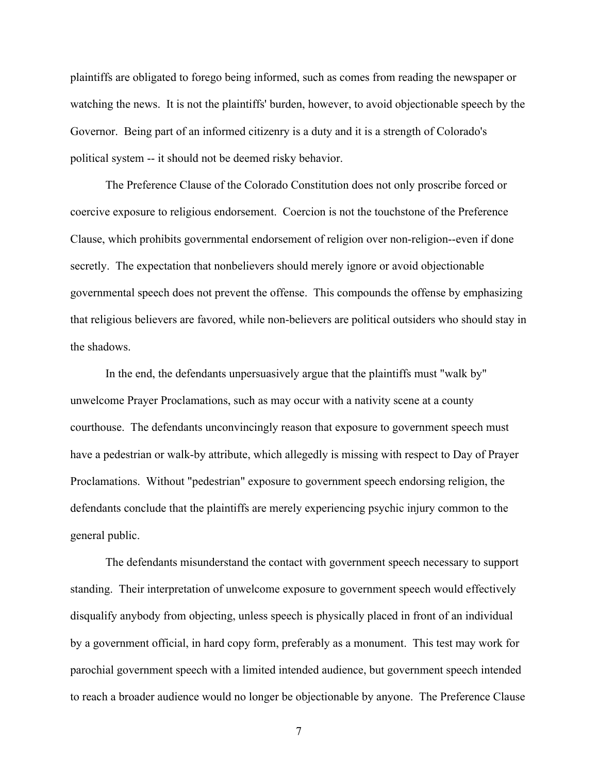plaintiffs are obligated to forego being informed, such as comes from reading the newspaper or watching the news. It is not the plaintiffs' burden, however, to avoid objectionable speech by the Governor. Being part of an informed citizenry is a duty and it is a strength of Colorado's political system -- it should not be deemed risky behavior.

The Preference Clause of the Colorado Constitution does not only proscribe forced or coercive exposure to religious endorsement. Coercion is not the touchstone of the Preference Clause, which prohibits governmental endorsement of religion over non-religion--even if done secretly. The expectation that nonbelievers should merely ignore or avoid objectionable governmental speech does not prevent the offense. This compounds the offense by emphasizing that religious believers are favored, while non-believers are political outsiders who should stay in the shadows.

In the end, the defendants unpersuasively argue that the plaintiffs must "walk by" unwelcome Prayer Proclamations, such as may occur with a nativity scene at a county courthouse. The defendants unconvincingly reason that exposure to government speech must have a pedestrian or walk-by attribute, which allegedly is missing with respect to Day of Prayer Proclamations. Without "pedestrian" exposure to government speech endorsing religion, the defendants conclude that the plaintiffs are merely experiencing psychic injury common to the general public.

The defendants misunderstand the contact with government speech necessary to support standing. Their interpretation of unwelcome exposure to government speech would effectively disqualify anybody from objecting, unless speech is physically placed in front of an individual by a government official, in hard copy form, preferably as a monument. This test may work for parochial government speech with a limited intended audience, but government speech intended to reach a broader audience would no longer be objectionable by anyone. The Preference Clause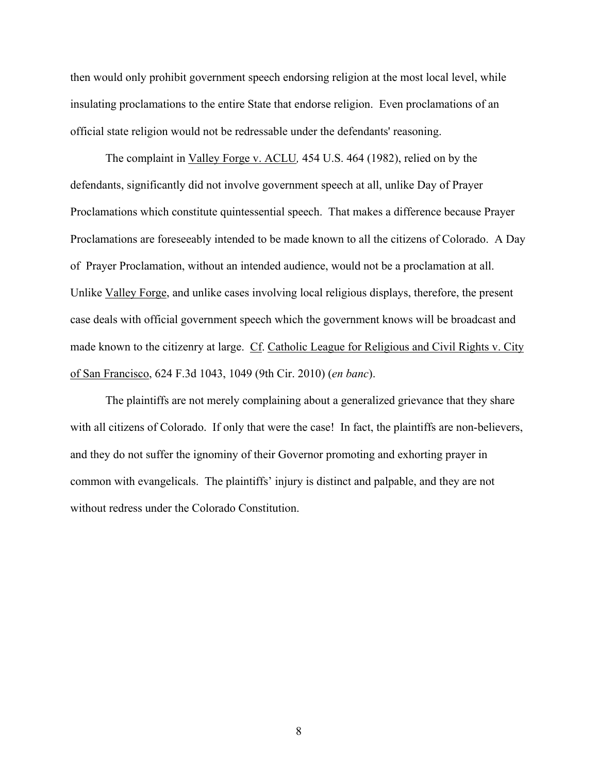then would only prohibit government speech endorsing religion at the most local level, while insulating proclamations to the entire State that endorse religion. Even proclamations of an official state religion would not be redressable under the defendants' reasoning.

The complaint in Valley Forge v. ACLU*,* 454 U.S. 464 (1982), relied on by the defendants, significantly did not involve government speech at all, unlike Day of Prayer Proclamations which constitute quintessential speech. That makes a difference because Prayer Proclamations are foreseeably intended to be made known to all the citizens of Colorado. A Day of Prayer Proclamation, without an intended audience, would not be a proclamation at all. Unlike Valley Forge, and unlike cases involving local religious displays, therefore, the present case deals with official government speech which the government knows will be broadcast and made known to the citizenry at large. Cf. Catholic League for Religious and Civil Rights v. City of San Francisco, 624 F.3d 1043, 1049 (9th Cir. 2010) (*en banc*).

The plaintiffs are not merely complaining about a generalized grievance that they share with all citizens of Colorado. If only that were the case! In fact, the plaintiffs are non-believers, and they do not suffer the ignominy of their Governor promoting and exhorting prayer in common with evangelicals. The plaintiffs' injury is distinct and palpable, and they are not without redress under the Colorado Constitution.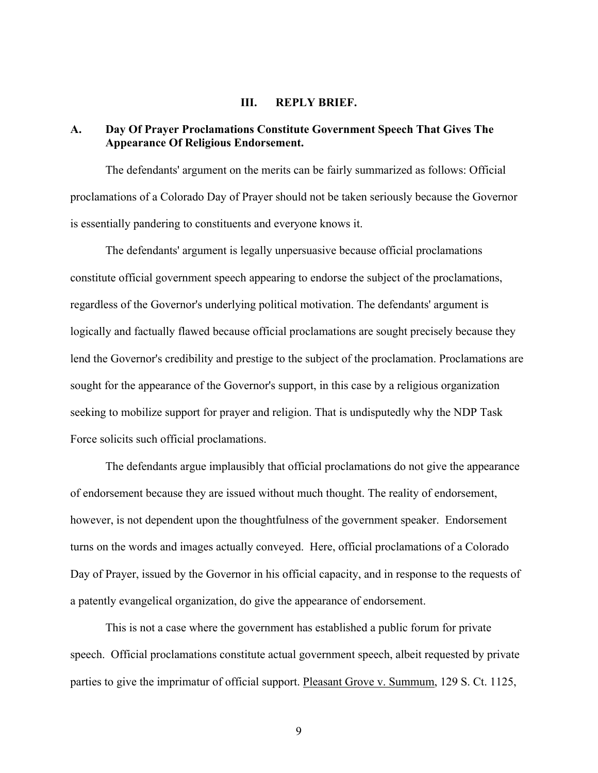#### **III. REPLY BRIEF.**

### **A. Day Of Prayer Proclamations Constitute Government Speech That Gives The Appearance Of Religious Endorsement.**

The defendants' argument on the merits can be fairly summarized as follows: Official proclamations of a Colorado Day of Prayer should not be taken seriously because the Governor is essentially pandering to constituents and everyone knows it.

The defendants' argument is legally unpersuasive because official proclamations constitute official government speech appearing to endorse the subject of the proclamations, regardless of the Governor's underlying political motivation. The defendants' argument is logically and factually flawed because official proclamations are sought precisely because they lend the Governor's credibility and prestige to the subject of the proclamation. Proclamations are sought for the appearance of the Governor's support, in this case by a religious organization seeking to mobilize support for prayer and religion. That is undisputedly why the NDP Task Force solicits such official proclamations.

The defendants argue implausibly that official proclamations do not give the appearance of endorsement because they are issued without much thought. The reality of endorsement, however, is not dependent upon the thoughtfulness of the government speaker. Endorsement turns on the words and images actually conveyed. Here, official proclamations of a Colorado Day of Prayer, issued by the Governor in his official capacity, and in response to the requests of a patently evangelical organization, do give the appearance of endorsement.

This is not a case where the government has established a public forum for private speech. Official proclamations constitute actual government speech, albeit requested by private parties to give the imprimatur of official support. Pleasant Grove v. Summum, 129 S. Ct. 1125,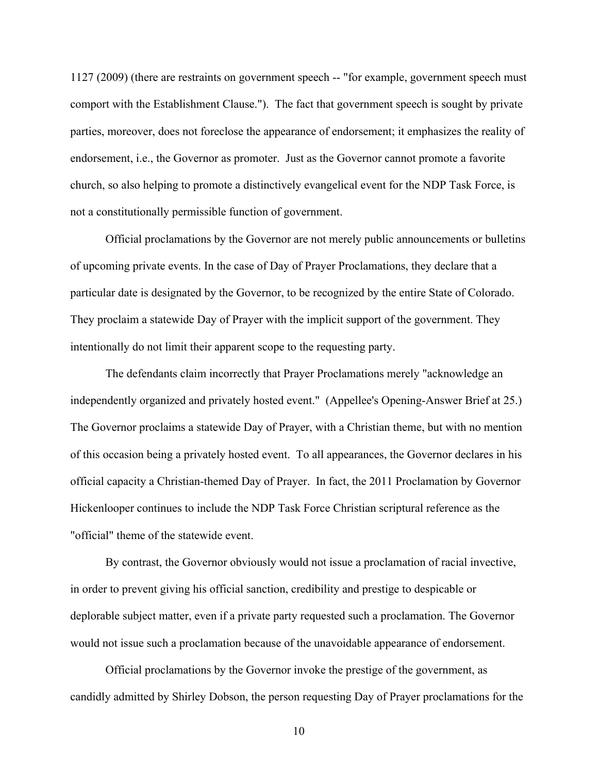1127 (2009) (there are restraints on government speech -- "for example, government speech must comport with the Establishment Clause."). The fact that government speech is sought by private parties, moreover, does not foreclose the appearance of endorsement; it emphasizes the reality of endorsement, i.e., the Governor as promoter. Just as the Governor cannot promote a favorite church, so also helping to promote a distinctively evangelical event for the NDP Task Force, is not a constitutionally permissible function of government.

Official proclamations by the Governor are not merely public announcements or bulletins of upcoming private events. In the case of Day of Prayer Proclamations, they declare that a particular date is designated by the Governor, to be recognized by the entire State of Colorado. They proclaim a statewide Day of Prayer with the implicit support of the government. They intentionally do not limit their apparent scope to the requesting party.

The defendants claim incorrectly that Prayer Proclamations merely "acknowledge an independently organized and privately hosted event." (Appellee's Opening-Answer Brief at 25.) The Governor proclaims a statewide Day of Prayer, with a Christian theme, but with no mention of this occasion being a privately hosted event. To all appearances, the Governor declares in his official capacity a Christian-themed Day of Prayer. In fact, the 2011 Proclamation by Governor Hickenlooper continues to include the NDP Task Force Christian scriptural reference as the "official" theme of the statewide event.

By contrast, the Governor obviously would not issue a proclamation of racial invective, in order to prevent giving his official sanction, credibility and prestige to despicable or deplorable subject matter, even if a private party requested such a proclamation. The Governor would not issue such a proclamation because of the unavoidable appearance of endorsement.

Official proclamations by the Governor invoke the prestige of the government, as candidly admitted by Shirley Dobson, the person requesting Day of Prayer proclamations for the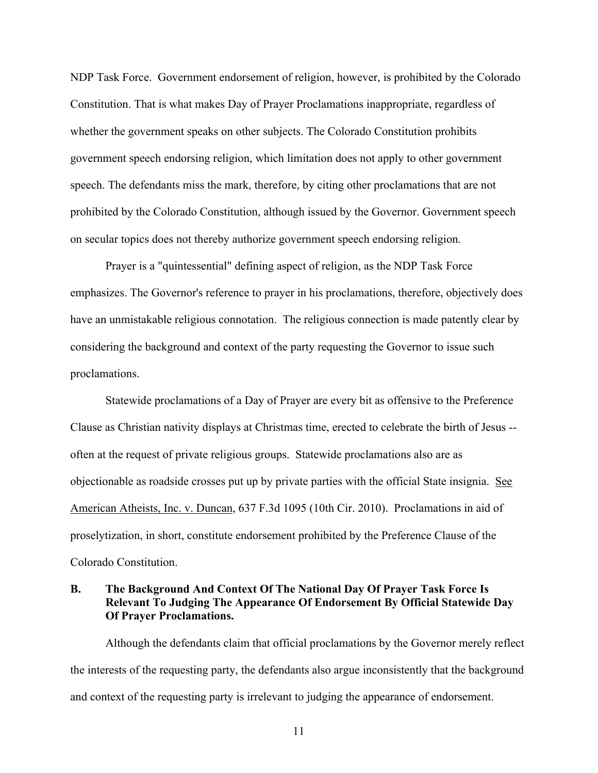NDP Task Force. Government endorsement of religion, however, is prohibited by the Colorado Constitution. That is what makes Day of Prayer Proclamations inappropriate, regardless of whether the government speaks on other subjects. The Colorado Constitution prohibits government speech endorsing religion, which limitation does not apply to other government speech. The defendants miss the mark, therefore, by citing other proclamations that are not prohibited by the Colorado Constitution, although issued by the Governor. Government speech on secular topics does not thereby authorize government speech endorsing religion.

Prayer is a "quintessential" defining aspect of religion, as the NDP Task Force emphasizes. The Governor's reference to prayer in his proclamations, therefore, objectively does have an unmistakable religious connotation. The religious connection is made patently clear by considering the background and context of the party requesting the Governor to issue such proclamations.

Statewide proclamations of a Day of Prayer are every bit as offensive to the Preference Clause as Christian nativity displays at Christmas time, erected to celebrate the birth of Jesus - often at the request of private religious groups. Statewide proclamations also are as objectionable as roadside crosses put up by private parties with the official State insignia. See American Atheists, Inc. v. Duncan, 637 F.3d 1095 (10th Cir. 2010). Proclamations in aid of proselytization, in short, constitute endorsement prohibited by the Preference Clause of the Colorado Constitution.

### **B. The Background And Context Of The National Day Of Prayer Task Force Is Relevant To Judging The Appearance Of Endorsement By Official Statewide Day Of Prayer Proclamations.**

Although the defendants claim that official proclamations by the Governor merely reflect the interests of the requesting party, the defendants also argue inconsistently that the background and context of the requesting party is irrelevant to judging the appearance of endorsement.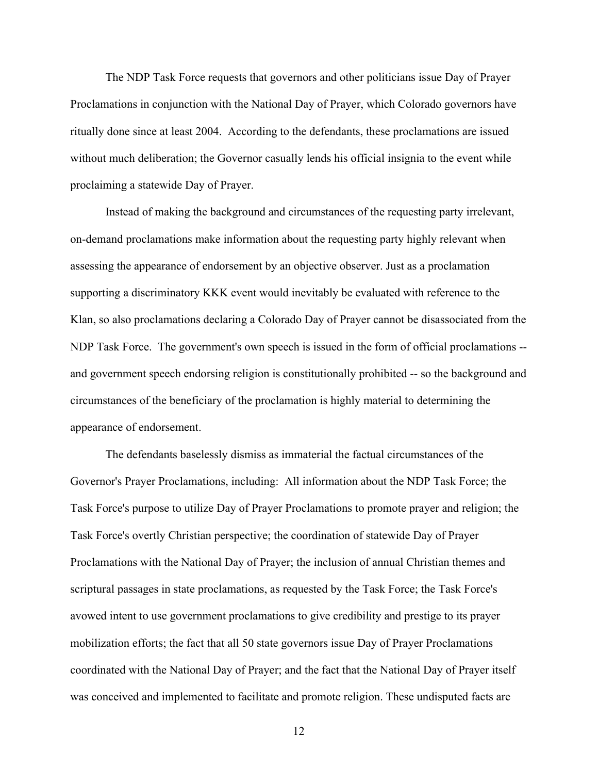The NDP Task Force requests that governors and other politicians issue Day of Prayer Proclamations in conjunction with the National Day of Prayer, which Colorado governors have ritually done since at least 2004. According to the defendants, these proclamations are issued without much deliberation; the Governor casually lends his official insignia to the event while proclaiming a statewide Day of Prayer.

Instead of making the background and circumstances of the requesting party irrelevant, on-demand proclamations make information about the requesting party highly relevant when assessing the appearance of endorsement by an objective observer. Just as a proclamation supporting a discriminatory KKK event would inevitably be evaluated with reference to the Klan, so also proclamations declaring a Colorado Day of Prayer cannot be disassociated from the NDP Task Force. The government's own speech is issued in the form of official proclamations - and government speech endorsing religion is constitutionally prohibited -- so the background and circumstances of the beneficiary of the proclamation is highly material to determining the appearance of endorsement.

The defendants baselessly dismiss as immaterial the factual circumstances of the Governor's Prayer Proclamations, including: All information about the NDP Task Force; the Task Force's purpose to utilize Day of Prayer Proclamations to promote prayer and religion; the Task Force's overtly Christian perspective; the coordination of statewide Day of Prayer Proclamations with the National Day of Prayer; the inclusion of annual Christian themes and scriptural passages in state proclamations, as requested by the Task Force; the Task Force's avowed intent to use government proclamations to give credibility and prestige to its prayer mobilization efforts; the fact that all 50 state governors issue Day of Prayer Proclamations coordinated with the National Day of Prayer; and the fact that the National Day of Prayer itself was conceived and implemented to facilitate and promote religion. These undisputed facts are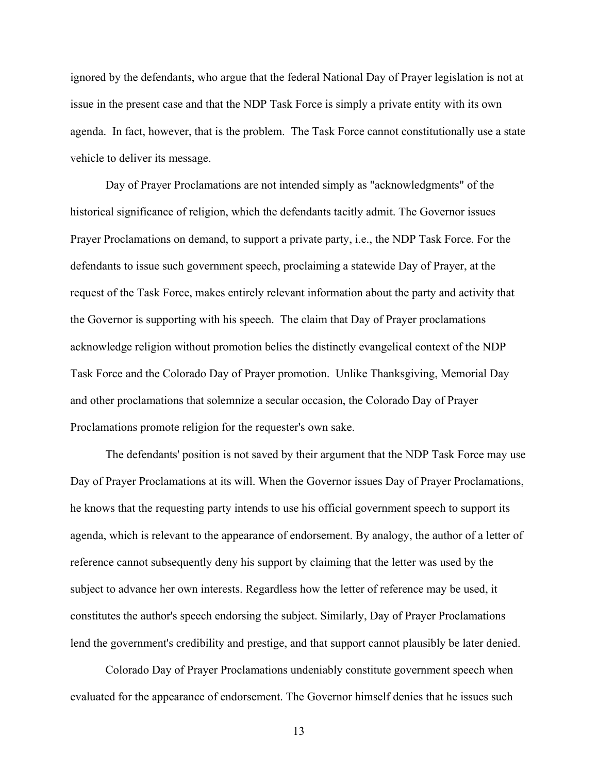ignored by the defendants, who argue that the federal National Day of Prayer legislation is not at issue in the present case and that the NDP Task Force is simply a private entity with its own agenda. In fact, however, that is the problem. The Task Force cannot constitutionally use a state vehicle to deliver its message.

Day of Prayer Proclamations are not intended simply as "acknowledgments" of the historical significance of religion, which the defendants tacitly admit. The Governor issues Prayer Proclamations on demand, to support a private party, i.e., the NDP Task Force. For the defendants to issue such government speech, proclaiming a statewide Day of Prayer, at the request of the Task Force, makes entirely relevant information about the party and activity that the Governor is supporting with his speech. The claim that Day of Prayer proclamations acknowledge religion without promotion belies the distinctly evangelical context of the NDP Task Force and the Colorado Day of Prayer promotion. Unlike Thanksgiving, Memorial Day and other proclamations that solemnize a secular occasion, the Colorado Day of Prayer Proclamations promote religion for the requester's own sake.

The defendants' position is not saved by their argument that the NDP Task Force may use Day of Prayer Proclamations at its will. When the Governor issues Day of Prayer Proclamations, he knows that the requesting party intends to use his official government speech to support its agenda, which is relevant to the appearance of endorsement. By analogy, the author of a letter of reference cannot subsequently deny his support by claiming that the letter was used by the subject to advance her own interests. Regardless how the letter of reference may be used, it constitutes the author's speech endorsing the subject. Similarly, Day of Prayer Proclamations lend the government's credibility and prestige, and that support cannot plausibly be later denied.

Colorado Day of Prayer Proclamations undeniably constitute government speech when evaluated for the appearance of endorsement. The Governor himself denies that he issues such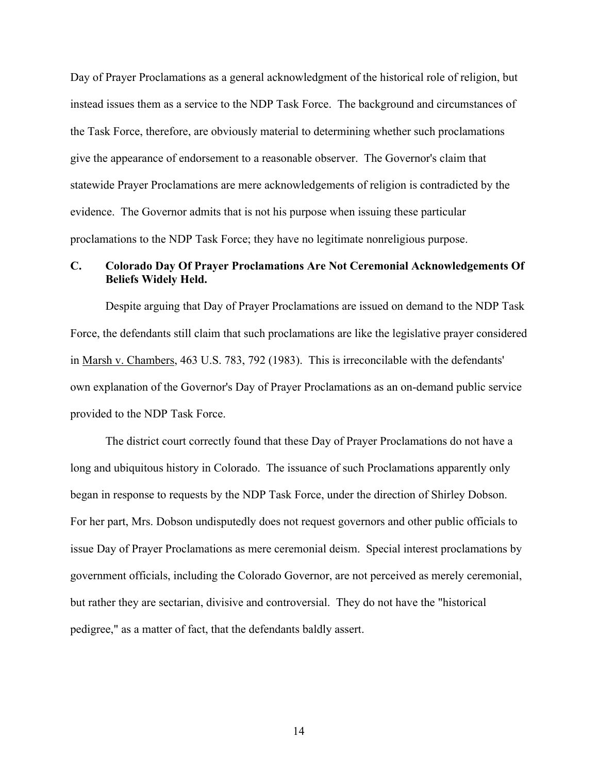Day of Prayer Proclamations as a general acknowledgment of the historical role of religion, but instead issues them as a service to the NDP Task Force. The background and circumstances of the Task Force, therefore, are obviously material to determining whether such proclamations give the appearance of endorsement to a reasonable observer. The Governor's claim that statewide Prayer Proclamations are mere acknowledgements of religion is contradicted by the evidence. The Governor admits that is not his purpose when issuing these particular proclamations to the NDP Task Force; they have no legitimate nonreligious purpose.

### **C. Colorado Day Of Prayer Proclamations Are Not Ceremonial Acknowledgements Of Beliefs Widely Held.**

Despite arguing that Day of Prayer Proclamations are issued on demand to the NDP Task Force, the defendants still claim that such proclamations are like the legislative prayer considered in Marsh v. Chambers, 463 U.S. 783, 792 (1983). This is irreconcilable with the defendants' own explanation of the Governor's Day of Prayer Proclamations as an on-demand public service provided to the NDP Task Force.

The district court correctly found that these Day of Prayer Proclamations do not have a long and ubiquitous history in Colorado. The issuance of such Proclamations apparently only began in response to requests by the NDP Task Force, under the direction of Shirley Dobson. For her part, Mrs. Dobson undisputedly does not request governors and other public officials to issue Day of Prayer Proclamations as mere ceremonial deism. Special interest proclamations by government officials, including the Colorado Governor, are not perceived as merely ceremonial, but rather they are sectarian, divisive and controversial. They do not have the "historical pedigree," as a matter of fact, that the defendants baldly assert.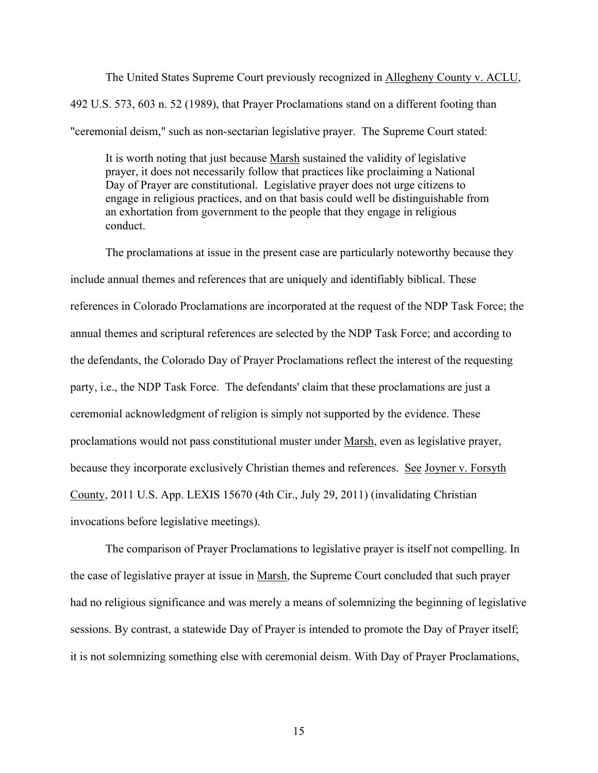The United States Supreme Court previously recognized in Allegheny County v. ACLU, 492 U.S. 573, 603 n. 52 (1989), that Prayer Proclamations stand on a different footing than "ceremonial deism," such as non-sectarian legislative prayer. The Supreme Court stated:

It is worth noting that just because Marsh sustained the validity of legislative prayer, it does not necessarily follow that practices like proclaiming a National Day of Prayer are constitutional. Legislative prayer does not urge citizens to engage in religious practices, and on that basis could well be distinguishable from an exhortation from government to the people that they engage in religious conduct.

The proclamations at issue in the present case are particularly noteworthy because they include annual themes and references that are uniquely and identifiably biblical. These references in Colorado Proclamations are incorporated at the request of the NDP Task Force; the annual themes and scriptural references are selected by the NDP Task Force; and according to the defendants, the Colorado Day of Prayer Proclamations reflect the interest of the requesting party, i.e., the NDP Task Force. The defendants' claim that these proclamations are just a ceremonial acknowledgment of religion is simply not supported by the evidence. These proclamations would not pass constitutional muster under Marsh, even as legislative prayer, because they incorporate exclusively Christian themes and references. See Joyner v. Forsyth County, 2011 U.S. App. LEXIS 15670 (4th Cir., July 29, 2011) (invalidating Christian invocations before legislative meetings).

The comparison of Prayer Proclamations to legislative prayer is itself not compelling. In the case of legislative prayer at issue in Marsh, the Supreme Court concluded that such prayer had no religious significance and was merely a means of solemnizing the beginning of legislative sessions. By contrast, a statewide Day of Prayer is intended to promote the Day of Prayer itself; it is not solemnizing something else with ceremonial deism. With Day of Prayer Proclamations,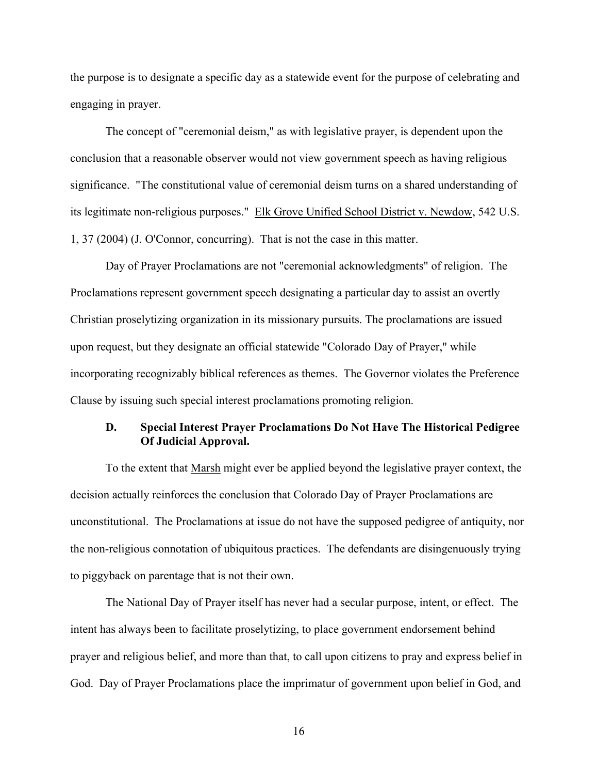the purpose is to designate a specific day as a statewide event for the purpose of celebrating and engaging in prayer.

The concept of "ceremonial deism," as with legislative prayer, is dependent upon the conclusion that a reasonable observer would not view government speech as having religious significance. "The constitutional value of ceremonial deism turns on a shared understanding of its legitimate non-religious purposes." Elk Grove Unified School District v. Newdow, 542 U.S. 1, 37 (2004) (J. O'Connor, concurring). That is not the case in this matter.

Day of Prayer Proclamations are not "ceremonial acknowledgments" of religion. The Proclamations represent government speech designating a particular day to assist an overtly Christian proselytizing organization in its missionary pursuits. The proclamations are issued upon request, but they designate an official statewide "Colorado Day of Prayer," while incorporating recognizably biblical references as themes. The Governor violates the Preference Clause by issuing such special interest proclamations promoting religion.

### **D. Special Interest Prayer Proclamations Do Not Have The Historical Pedigree Of Judicial Approval.**

To the extent that Marsh might ever be applied beyond the legislative prayer context, the decision actually reinforces the conclusion that Colorado Day of Prayer Proclamations are unconstitutional. The Proclamations at issue do not have the supposed pedigree of antiquity, nor the non-religious connotation of ubiquitous practices. The defendants are disingenuously trying to piggyback on parentage that is not their own.

The National Day of Prayer itself has never had a secular purpose, intent, or effect. The intent has always been to facilitate proselytizing, to place government endorsement behind prayer and religious belief, and more than that, to call upon citizens to pray and express belief in God. Day of Prayer Proclamations place the imprimatur of government upon belief in God, and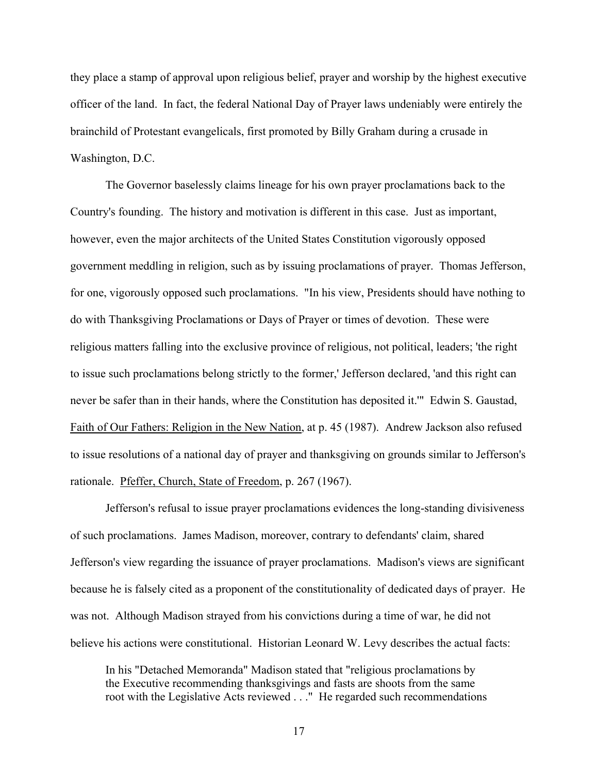they place a stamp of approval upon religious belief, prayer and worship by the highest executive officer of the land. In fact, the federal National Day of Prayer laws undeniably were entirely the brainchild of Protestant evangelicals, first promoted by Billy Graham during a crusade in Washington, D.C.

The Governor baselessly claims lineage for his own prayer proclamations back to the Country's founding. The history and motivation is different in this case. Just as important, however, even the major architects of the United States Constitution vigorously opposed government meddling in religion, such as by issuing proclamations of prayer. Thomas Jefferson, for one, vigorously opposed such proclamations. "In his view, Presidents should have nothing to do with Thanksgiving Proclamations or Days of Prayer or times of devotion. These were religious matters falling into the exclusive province of religious, not political, leaders; 'the right to issue such proclamations belong strictly to the former,' Jefferson declared, 'and this right can never be safer than in their hands, where the Constitution has deposited it.'" Edwin S. Gaustad, Faith of Our Fathers: Religion in the New Nation, at p. 45 (1987). Andrew Jackson also refused to issue resolutions of a national day of prayer and thanksgiving on grounds similar to Jefferson's rationale. Pfeffer, Church, State of Freedom, p. 267 (1967).

Jefferson's refusal to issue prayer proclamations evidences the long-standing divisiveness of such proclamations. James Madison, moreover, contrary to defendants' claim, shared Jefferson's view regarding the issuance of prayer proclamations. Madison's views are significant because he is falsely cited as a proponent of the constitutionality of dedicated days of prayer. He was not. Although Madison strayed from his convictions during a time of war, he did not believe his actions were constitutional. Historian Leonard W. Levy describes the actual facts:

In his "Detached Memoranda" Madison stated that "religious proclamations by the Executive recommending thanksgivings and fasts are shoots from the same root with the Legislative Acts reviewed . . ." He regarded such recommendations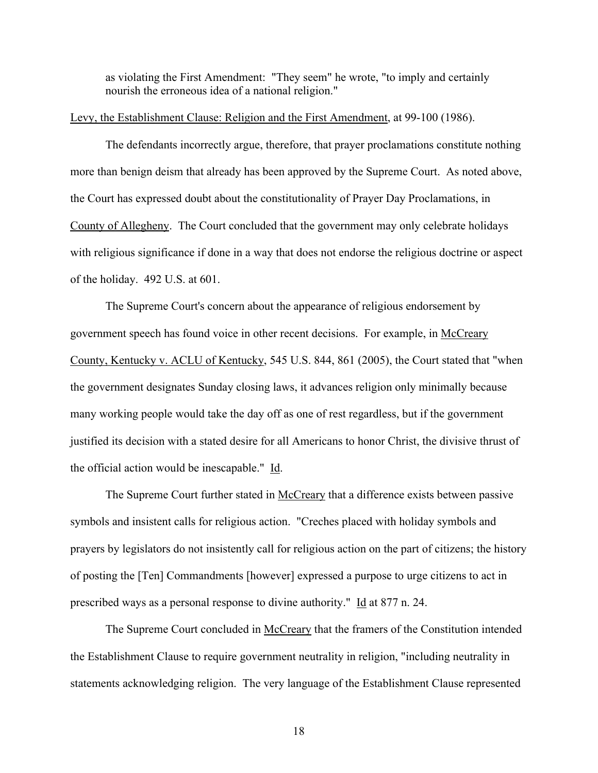as violating the First Amendment: "They seem" he wrote, "to imply and certainly nourish the erroneous idea of a national religion."

#### Levy, the Establishment Clause: Religion and the First Amendment, at 99-100 (1986).

The defendants incorrectly argue, therefore, that prayer proclamations constitute nothing more than benign deism that already has been approved by the Supreme Court. As noted above, the Court has expressed doubt about the constitutionality of Prayer Day Proclamations, in County of Allegheny. The Court concluded that the government may only celebrate holidays with religious significance if done in a way that does not endorse the religious doctrine or aspect of the holiday. 492 U.S. at 601.

The Supreme Court's concern about the appearance of religious endorsement by government speech has found voice in other recent decisions. For example, in McCreary County, Kentucky v. ACLU of Kentucky, 545 U.S. 844, 861 (2005), the Court stated that "when the government designates Sunday closing laws, it advances religion only minimally because many working people would take the day off as one of rest regardless, but if the government justified its decision with a stated desire for all Americans to honor Christ, the divisive thrust of the official action would be inescapable." Id.

The Supreme Court further stated in McCreary that a difference exists between passive symbols and insistent calls for religious action. "Creches placed with holiday symbols and prayers by legislators do not insistently call for religious action on the part of citizens; the history of posting the [Ten] Commandments [however] expressed a purpose to urge citizens to act in prescribed ways as a personal response to divine authority." Id at 877 n. 24.

The Supreme Court concluded in McCreary that the framers of the Constitution intended the Establishment Clause to require government neutrality in religion, "including neutrality in statements acknowledging religion. The very language of the Establishment Clause represented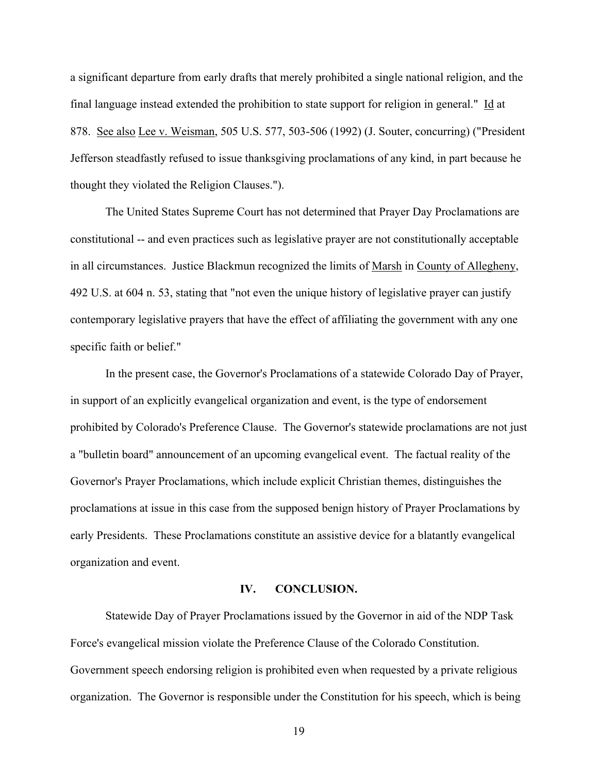a significant departure from early drafts that merely prohibited a single national religion, and the final language instead extended the prohibition to state support for religion in general." Id at 878. See also Lee v. Weisman, 505 U.S. 577, 503-506 (1992) (J. Souter, concurring) ("President Jefferson steadfastly refused to issue thanksgiving proclamations of any kind, in part because he thought they violated the Religion Clauses.").

The United States Supreme Court has not determined that Prayer Day Proclamations are constitutional -- and even practices such as legislative prayer are not constitutionally acceptable in all circumstances. Justice Blackmun recognized the limits of Marsh in County of Allegheny, 492 U.S. at 604 n. 53, stating that "not even the unique history of legislative prayer can justify contemporary legislative prayers that have the effect of affiliating the government with any one specific faith or belief."

In the present case, the Governor's Proclamations of a statewide Colorado Day of Prayer, in support of an explicitly evangelical organization and event, is the type of endorsement prohibited by Colorado's Preference Clause. The Governor's statewide proclamations are not just a "bulletin board" announcement of an upcoming evangelical event. The factual reality of the Governor's Prayer Proclamations, which include explicit Christian themes, distinguishes the proclamations at issue in this case from the supposed benign history of Prayer Proclamations by early Presidents. These Proclamations constitute an assistive device for a blatantly evangelical organization and event.

#### **IV. CONCLUSION.**

Statewide Day of Prayer Proclamations issued by the Governor in aid of the NDP Task Force's evangelical mission violate the Preference Clause of the Colorado Constitution. Government speech endorsing religion is prohibited even when requested by a private religious organization. The Governor is responsible under the Constitution for his speech, which is being